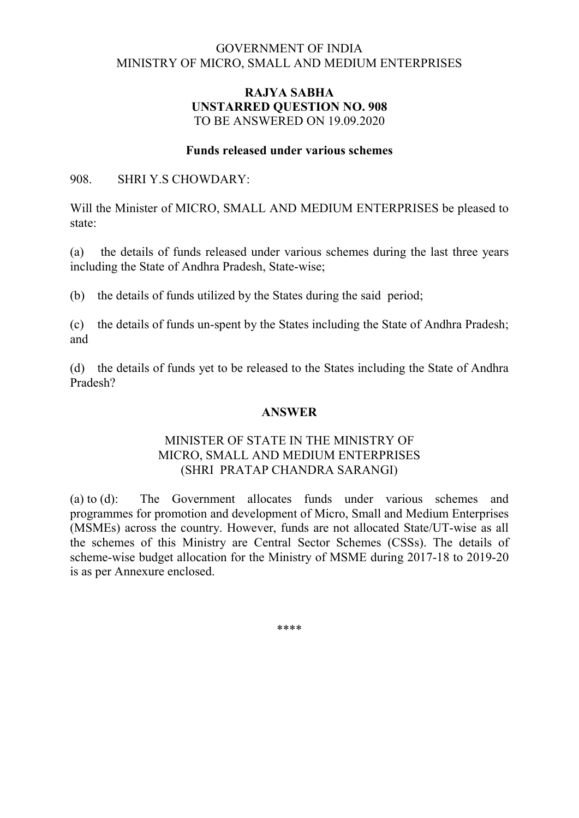### GOVERNMENT OF INDIA MINISTRY OF MICRO, SMALL AND MEDIUM ENTERPRISES

## RAJYA SABHA UNSTARRED QUESTION NO. 908 TO BE ANSWERED ON 19.09.2020

#### Funds released under various schemes

#### 908. SHRI Y.S CHOWDARY:

Will the Minister of MICRO, SMALL AND MEDIUM ENTERPRISES be pleased to state:

(a) the details of funds released under various schemes during the last three years including the State of Andhra Pradesh, State-wise;

(b) the details of funds utilized by the States during the said period;

(c) the details of funds un-spent by the States including the State of Andhra Pradesh; and

(d) the details of funds yet to be released to the States including the State of Andhra Pradesh?

# ANSWER

## MINISTER OF STATE IN THE MINISTRY OF MICRO, SMALL AND MEDIUM ENTERPRISES (SHRI PRATAP CHANDRA SARANGI)

(a) to (d): The Government allocates funds under various schemes and programmes for promotion and development of Micro, Small and Medium Enterprises (MSMEs) across the country. However, funds are not allocated State/UT-wise as all the schemes of this Ministry are Central Sector Schemes (CSSs). The details of scheme-wise budget allocation for the Ministry of MSME during 2017-18 to 2019-20 is as per Annexure enclosed.

\*\*\*\*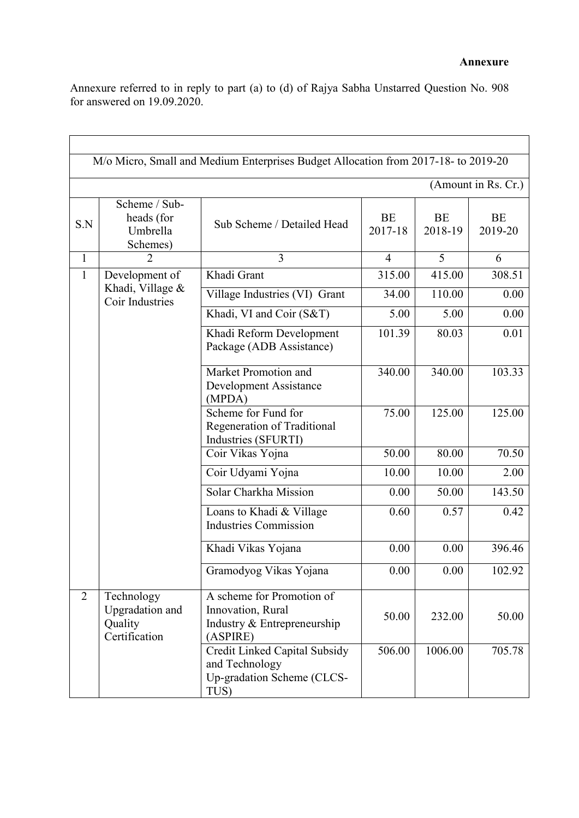Annexure referred to in reply to part (a) to (d) of Rajya Sabha Unstarred Question No. 908 for answered on 19.09.2020.

| M/o Micro, Small and Medium Enterprises Budget Allocation from 2017-18- to 2019-20 |                                                           |                                                                                           |                |                |               |  |  |  |  |
|------------------------------------------------------------------------------------|-----------------------------------------------------------|-------------------------------------------------------------------------------------------|----------------|----------------|---------------|--|--|--|--|
| (Amount in Rs. Cr.)                                                                |                                                           |                                                                                           |                |                |               |  |  |  |  |
| S.N                                                                                | Scheme / Sub-<br>heads (for<br>Umbrella<br>Schemes)       | Sub Scheme / Detailed Head                                                                | BE<br>2017-18  | BE<br>2018-19  | BE<br>2019-20 |  |  |  |  |
| $\mathbf{1}$                                                                       | $\overline{2}$                                            | 3                                                                                         | $\overline{4}$ | $\overline{5}$ | 6             |  |  |  |  |
| $\mathbf{1}$                                                                       | Development of<br>Khadi, Village &<br>Coir Industries     | Khadi Grant                                                                               | 315.00         | 415.00         | 308.51        |  |  |  |  |
|                                                                                    |                                                           | Village Industries (VI) Grant                                                             | 34.00          | 110.00         | 0.00          |  |  |  |  |
|                                                                                    |                                                           | Khadi, VI and Coir (S&T)                                                                  | 5.00           | 5.00           | 0.00          |  |  |  |  |
|                                                                                    |                                                           | Khadi Reform Development<br>Package (ADB Assistance)                                      | 101.39         | 80.03          | 0.01          |  |  |  |  |
|                                                                                    |                                                           | Market Promotion and<br><b>Development Assistance</b><br>(MPDA)                           | 340.00         | 340.00         | 103.33        |  |  |  |  |
|                                                                                    |                                                           | Scheme for Fund for<br>Regeneration of Traditional<br>Industries (SFURTI)                 | 75.00          | 125.00         | 125.00        |  |  |  |  |
|                                                                                    |                                                           | Coir Vikas Yojna                                                                          | 50.00          | 80.00          | 70.50         |  |  |  |  |
|                                                                                    |                                                           | Coir Udyami Yojna                                                                         | 10.00          | 10.00          | 2.00          |  |  |  |  |
|                                                                                    |                                                           | Solar Charkha Mission                                                                     | 0.00           | 50.00          | 143.50        |  |  |  |  |
|                                                                                    |                                                           | Loans to Khadi & Village<br><b>Industries Commission</b>                                  | 0.60           | 0.57           | 0.42          |  |  |  |  |
|                                                                                    |                                                           | Khadi Vikas Yojana                                                                        | 0.00           | 0.00           | 396.46        |  |  |  |  |
|                                                                                    |                                                           | Gramodyog Vikas Yojana                                                                    | 0.00           | 0.00           | 102.92        |  |  |  |  |
| $\overline{2}$                                                                     | Technology<br>Upgradation and<br>Quality<br>Certification | A scheme for Promotion of<br>Innovation, Rural<br>Industry & Entrepreneurship<br>(ASPIRE) | 50.00          | 232.00         | 50.00         |  |  |  |  |
|                                                                                    |                                                           | Credit Linked Capital Subsidy<br>and Technology<br>Up-gradation Scheme (CLCS-<br>TUS)     | 506.00         | 1006.00        | 705.78        |  |  |  |  |